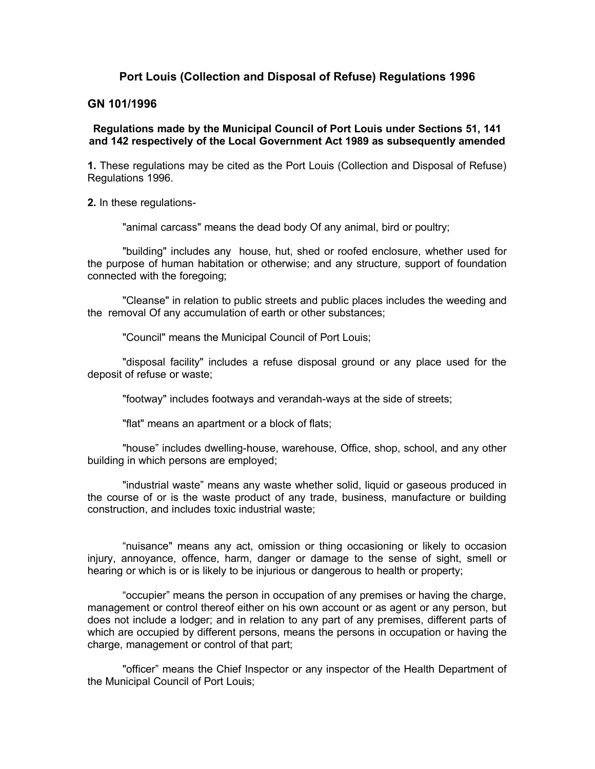# **Port Louis (Collection and Disposal of Refuse) Regulations 1996**

### **GN 101/1996**

# **Regulations made by the Municipal Council of Port Louis under Sections 51, 141 and 142 respectively of the Local Government Act 1989 as subsequently amended**

**1.** These regulations may be cited as the Port Louis (Collection and Disposal of Refuse) Regulations 1996.

**2.** In these regulations-

"animal carcass" means the dead body Of any animal, bird or poultry;

"building" includes any house, hut, shed or roofed enclosure, whether used for the purpose of human habitation or otherwise; and any structure, support of foundation connected with the foregoing;

"Cleanse" in relation to public streets and public places includes the weeding and the removal Of any accumulation of earth or other substances;

"Council" means the Municipal Council of Port Louis;

"disposal facility" includes a refuse disposal ground or any place used for the deposit of refuse or waste;

"footway" includes footways and verandah-ways at the side of streets;

"flat" means an apartment or a block of flats;

"house" includes dwelling-house, warehouse, Office, shop, school, and any other building in which persons are employed;

"industrial waste" means any waste whether solid, liquid or gaseous produced in the course of or is the waste product of any trade, business, manufacture or building construction, and includes toxic industrial waste;

"nuisance" means any act, omission or thing occasioning or likely to occasion injury, annoyance, offence, harm, danger or damage to the sense of sight, smell or hearing or which is or is likely to be injurious or dangerous to health or property;

"occupier" means the person in occupation of any premises or having the charge, management or control thereof either on his own account or as agent or any person, but does not include a lodger; and in relation to any part of any premises, different parts of which are occupied by different persons, means the persons in occupation or having the charge, management or control of that part;

"officer" means the Chief Inspector or any inspector of the Health Department of the Municipal Council of Port Louis;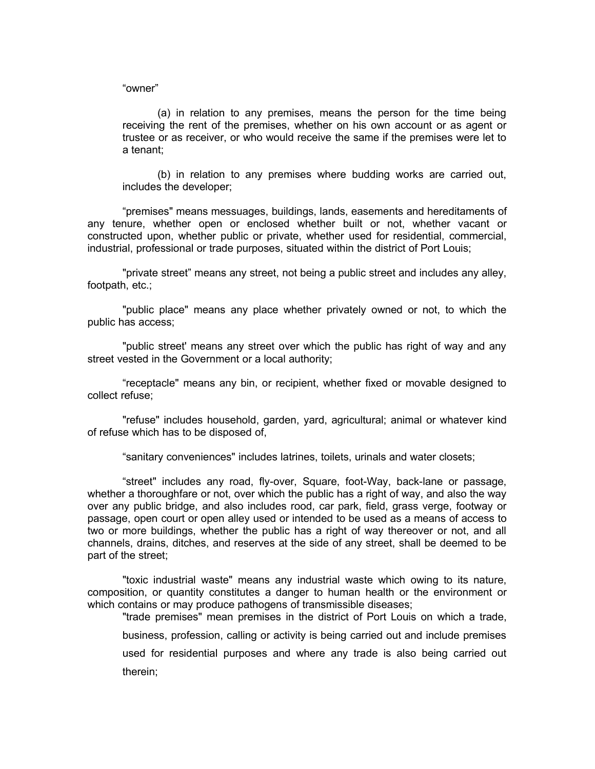#### "owner"

(a) in relation to any premises, means the person for the time being receiving the rent of the premises, whether on his own account or as agent or trustee or as receiver, or who would receive the same if the premises were let to a tenant;

(b) in relation to any premises where budding works are carried out, includes the developer;

"premises" means messuages, buildings, lands, easements and hereditaments of any tenure, whether open or enclosed whether built or not, whether vacant or constructed upon, whether public or private, whether used for residential, commercial, industrial, professional or trade purposes, situated within the district of Port Louis;

"private street" means any street, not being a public street and includes any alley, footpath, etc.;

"public place" means any place whether privately owned or not, to which the public has access;

"public street' means any street over which the public has right of way and any street vested in the Government or a local authority;

"receptacle" means any bin, or recipient, whether fixed or movable designed to collect refuse;

"refuse" includes household, garden, yard, agricultural; animal or whatever kind of refuse which has to be disposed of,

"sanitary conveniences" includes latrines, toilets, urinals and water closets;

"street" includes any road, fly-over, Square, foot-Way, back-lane or passage, whether a thoroughfare or not, over which the public has a right of way, and also the way over any public bridge, and also includes rood, car park, field, grass verge, footway or passage, open court or open alley used or intended to be used as a means of access to two or more buildings, whether the public has a right of way thereover or not, and all channels, drains, ditches, and reserves at the side of any street, shall be deemed to be part of the street;

"toxic industrial waste" means any industrial waste which owing to its nature, composition, or quantity constitutes a danger to human health or the environment or which contains or may produce pathogens of transmissible diseases;

"trade premises" mean premises in the district of Port Louis on which a trade, business, profession, calling or activity is being carried out and include premises used for residential purposes and where any trade is also being carried out therein;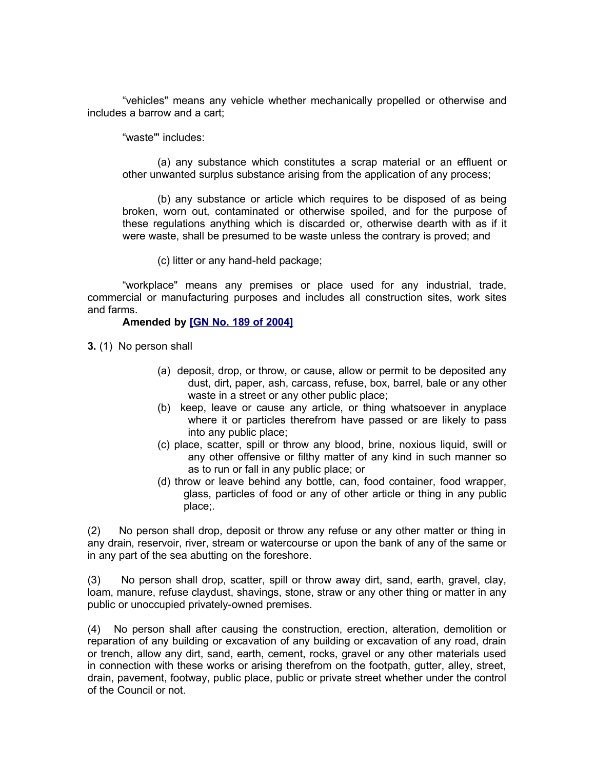"vehicles" means any vehicle whether mechanically propelled or otherwise and includes a barrow and a cart;

"waste"' includes:

(a) any substance which constitutes a scrap material or an effluent or other unwanted surplus substance arising from the application of any process;

(b) any substance or article which requires to be disposed of as being broken, worn out, contaminated or otherwise spoiled, and for the purpose of these regulations anything which is discarded or, otherwise dearth with as if it were waste, shall be presumed to be waste unless the contrary is proved; and

(c) litter or any hand-held package;

"workplace" means any premises or place used for any industrial, trade, commercial or manufacturing purposes and includes all construction sites, work sites and farms.

### **Amended by [\[GN No. 189 of 2004\]](http://www.gov.mu/scourt/doc/showDoc.do?dk=GN%20No.%20189%20of%202004&dt=R)**

**3.** (1) No person shall

- (a) deposit, drop, or throw, or cause, allow or permit to be deposited any dust, dirt, paper, ash, carcass, refuse, box, barrel, bale or any other waste in a street or any other public place;
- (b) keep, leave or cause any article, or thing whatsoever in anyplace where it or particles therefrom have passed or are likely to pass into any public place;
- (c) place, scatter, spill or throw any blood, brine, noxious liquid, swill or any other offensive or filthy matter of any kind in such manner so as to run or fall in any public place; or
- (d) throw or leave behind any bottle, can, food container, food wrapper, glass, particles of food or any of other article or thing in any public place;.

(2) No person shall drop, deposit or throw any refuse or any other matter or thing in any drain, reservoir, river, stream or watercourse or upon the bank of any of the same or in any part of the sea abutting on the foreshore.

(3) No person shall drop, scatter, spill or throw away dirt, sand, earth, gravel, clay, loam, manure, refuse claydust, shavings, stone, straw or any other thing or matter in any public or unoccupied privately-owned premises.

(4) No person shall after causing the construction, erection, alteration, demolition or reparation of any building or excavation of any building or excavation of any road, drain or trench, allow any dirt, sand, earth, cement, rocks, gravel or any other materials used in connection with these works or arising therefrom on the footpath, gutter, alley, street, drain, pavement, footway, public place, public or private street whether under the control of the Council or not.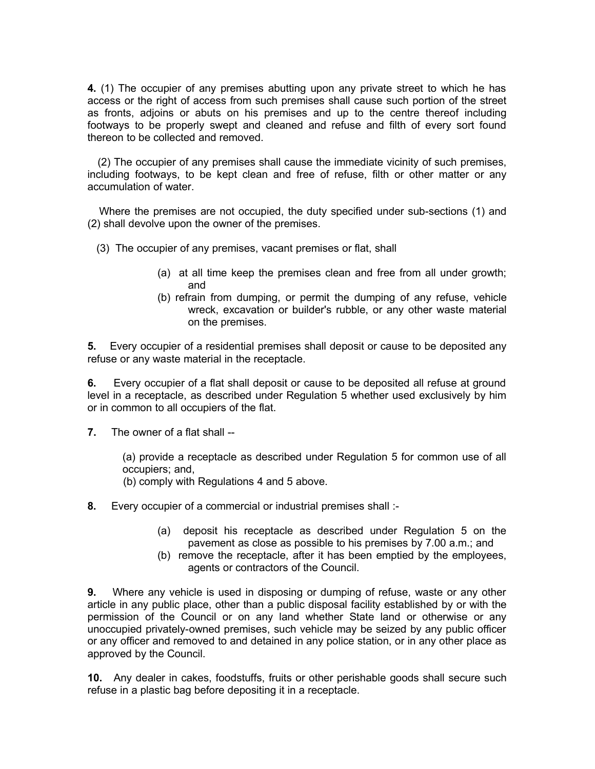**4.** (1) The occupier of any premises abutting upon any private street to which he has access or the right of access from such premises shall cause such portion of the street as fronts, adjoins or abuts on his premises and up to the centre thereof including footways to be properly swept and cleaned and refuse and filth of every sort found thereon to be collected and removed.

 (2) The occupier of any premises shall cause the immediate vicinity of such premises, including footways, to be kept clean and free of refuse, filth or other matter or any accumulation of water.

 Where the premises are not occupied, the duty specified under sub-sections (1) and (2) shall devolve upon the owner of the premises.

- (3) The occupier of any premises, vacant premises or flat, shall
	- (a) at all time keep the premises clean and free from all under growth; and
	- (b) refrain from dumping, or permit the dumping of any refuse, vehicle wreck, excavation or builder's rubble, or any other waste material on the premises.

**5.** Every occupier of a residential premises shall deposit or cause to be deposited any refuse or any waste material in the receptacle.

**6.** Every occupier of a flat shall deposit or cause to be deposited all refuse at ground level in a receptacle, as described under Regulation 5 whether used exclusively by him or in common to all occupiers of the flat.

**7.** The owner of a flat shall --

(a) provide a receptacle as described under Regulation 5 for common use of all occupiers; and,

(b) comply with Regulations 4 and 5 above.

- **8.** Every occupier of a commercial or industrial premises shall :-
	- (a) deposit his receptacle as described under Regulation 5 on the pavement as close as possible to his premises by 7.00 a.m.; and
	- (b) remove the receptacle, after it has been emptied by the employees, agents or contractors of the Council.

**9.** Where any vehicle is used in disposing or dumping of refuse, waste or any other article in any public place, other than a public disposal facility established by or with the permission of the Council or on any land whether State land or otherwise or any unoccupied privately-owned premises, such vehicle may be seized by any public officer or any officer and removed to and detained in any police station, or in any other place as approved by the Council.

**10.** Any dealer in cakes, foodstuffs, fruits or other perishable goods shall secure such refuse in a plastic bag before depositing it in a receptacle.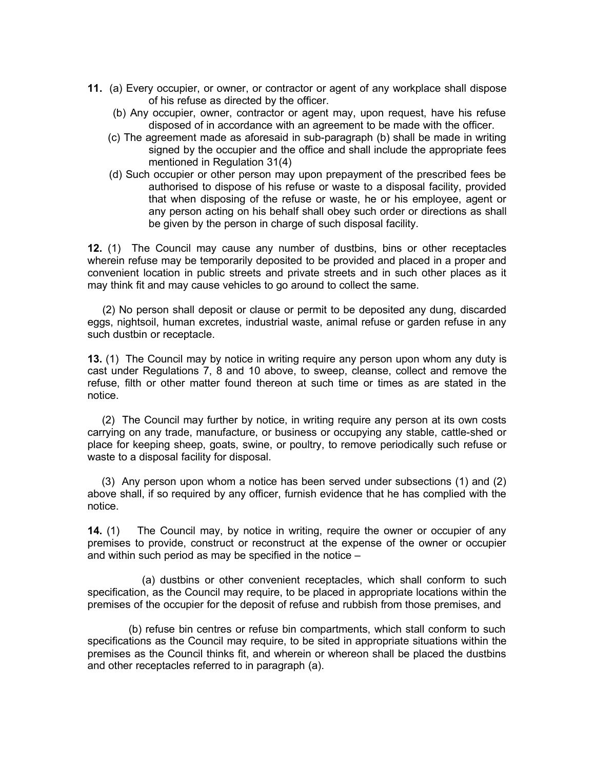- **11.** (a) Every occupier, or owner, or contractor or agent of any workplace shall dispose of his refuse as directed by the officer.
	- (b) Any occupier, owner, contractor or agent may, upon request, have his refuse disposed of in accordance with an agreement to be made with the officer.
	- (c) The agreement made as aforesaid in sub-paragraph (b) shall be made in writing signed by the occupier and the office and shall include the appropriate fees mentioned in Regulation 31(4)
	- (d) Such occupier or other person may upon prepayment of the prescribed fees be authorised to dispose of his refuse or waste to a disposal facility, provided that when disposing of the refuse or waste, he or his employee, agent or any person acting on his behalf shall obey such order or directions as shall be given by the person in charge of such disposal facility.

**12.** (1) The Council may cause any number of dustbins, bins or other receptacles wherein refuse may be temporarily deposited to be provided and placed in a proper and convenient location in public streets and private streets and in such other places as it may think fit and may cause vehicles to go around to collect the same.

 (2) No person shall deposit or clause or permit to be deposited any dung, discarded eggs, nightsoil, human excretes, industrial waste, animal refuse or garden refuse in any such dustbin or receptacle.

**13.** (1) The Council may by notice in writing require any person upon whom any duty is cast under Regulations 7, 8 and 10 above, to sweep, cleanse, collect and remove the refuse, filth or other matter found thereon at such time or times as are stated in the notice.

 (2) The Council may further by notice, in writing require any person at its own costs carrying on any trade, manufacture, or business or occupying any stable, cattle-shed or place for keeping sheep, goats, swine, or poultry, to remove periodically such refuse or waste to a disposal facility for disposal.

 (3) Any person upon whom a notice has been served under subsections (1) and (2) above shall, if so required by any officer, furnish evidence that he has complied with the notice.

**14.** (1) The Council may, by notice in writing, require the owner or occupier of any premises to provide, construct or reconstruct at the expense of the owner or occupier and within such period as may be specified in the notice –

 (a) dustbins or other convenient receptacles, which shall conform to such specification, as the Council may require, to be placed in appropriate locations within the premises of the occupier for the deposit of refuse and rubbish from those premises, and

 (b) refuse bin centres or refuse bin compartments, which stall conform to such specifications as the Council may require, to be sited in appropriate situations within the premises as the Council thinks fit, and wherein or whereon shall be placed the dustbins and other receptacles referred to in paragraph (a).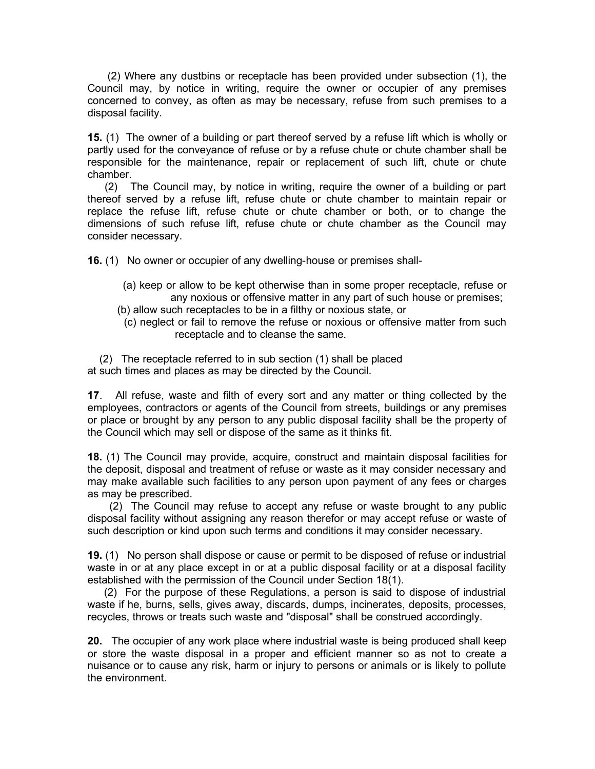(2) Where any dustbins or receptacle has been provided under subsection (1), the Council may, by notice in writing, require the owner or occupier of any premises concerned to convey, as often as may be necessary, refuse from such premises to a disposal facility.

**15.** (1) The owner of a building or part thereof served by a refuse lift which is wholly or partly used for the conveyance of refuse or by a refuse chute or chute chamber shall be responsible for the maintenance, repair or replacement of such lift, chute or chute chamber.

 (2) The Council may, by notice in writing, require the owner of a building or part thereof served by a refuse lift, refuse chute or chute chamber to maintain repair or replace the refuse lift, refuse chute or chute chamber or both, or to change the dimensions of such refuse lift, refuse chute or chute chamber as the Council may consider necessary.

**16.** (1) No owner or occupier of any dwelling-house or premises shall-

- (a) keep or allow to be kept otherwise than in some proper receptacle, refuse or any noxious or offensive matter in any part of such house or premises;
- (b) allow such receptacles to be in a filthy or noxious state, or
	- (c) neglect or fail to remove the refuse or noxious or offensive matter from such receptacle and to cleanse the same.

 (2) The receptacle referred to in sub section (1) shall be placed at such times and places as may be directed by the Council.

**17**. All refuse, waste and filth of every sort and any matter or thing collected by the employees, contractors or agents of the Council from streets, buildings or any premises or place or brought by any person to any public disposal facility shall be the property of the Council which may sell or dispose of the same as it thinks fit.

**18.** (1) The Council may provide, acquire, construct and maintain disposal facilities for the deposit, disposal and treatment of refuse or waste as it may consider necessary and may make available such facilities to any person upon payment of any fees or charges as may be prescribed.

 (2) The Council may refuse to accept any refuse or waste brought to any public disposal facility without assigning any reason therefor or may accept refuse or waste of such description or kind upon such terms and conditions it may consider necessary.

**19.** (1) No person shall dispose or cause or permit to be disposed of refuse or industrial waste in or at any place except in or at a public disposal facility or at a disposal facility established with the permission of the Council under Section 18(1).

 (2) For the purpose of these Regulations, a person is said to dispose of industrial waste if he, burns, sells, gives away, discards, dumps, incinerates, deposits, processes, recycles, throws or treats such waste and "disposal" shall be construed accordingly.

**20.** The occupier of any work place where industrial waste is being produced shall keep or store the waste disposal in a proper and efficient manner so as not to create a nuisance or to cause any risk, harm or injury to persons or animals or is likely to pollute the environment.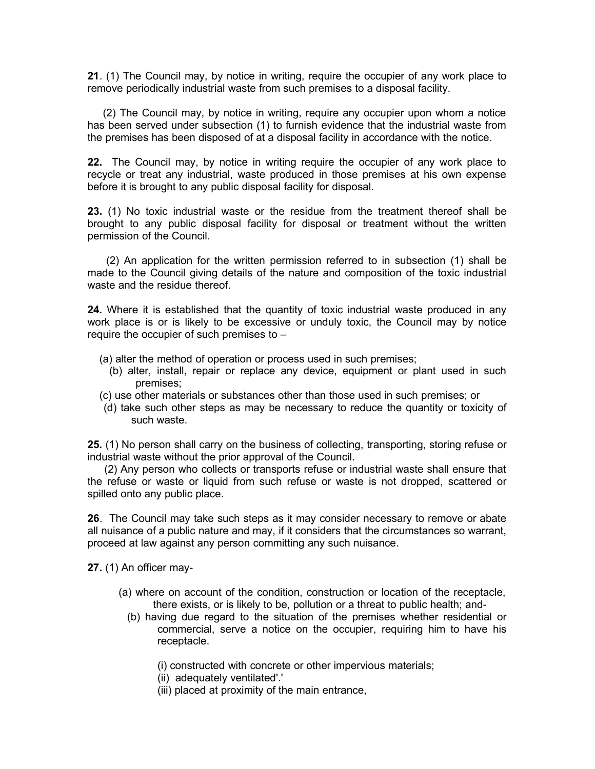**21**. (1) The Council may, by notice in writing, require the occupier of any work place to remove periodically industrial waste from such premises to a disposal facility.

 (2) The Council may, by notice in writing, require any occupier upon whom a notice has been served under subsection (1) to furnish evidence that the industrial waste from the premises has been disposed of at a disposal facility in accordance with the notice.

**22.** The Council may, by notice in writing require the occupier of any work place to recycle or treat any industrial, waste produced in those premises at his own expense before it is brought to any public disposal facility for disposal.

**23.** (1) No toxic industrial waste or the residue from the treatment thereof shall be brought to any public disposal facility for disposal or treatment without the written permission of the Council.

 (2) An application for the written permission referred to in subsection (1) shall be made to the Council giving details of the nature and composition of the toxic industrial waste and the residue thereof.

**24.** Where it is established that the quantity of toxic industrial waste produced in any work place is or is likely to be excessive or unduly toxic, the Council may by notice require the occupier of such premises to –

- (a) alter the method of operation or process used in such premises;
	- (b) alter, install, repair or replace any device, equipment or plant used in such premises;
- (c) use other materials or substances other than those used in such premises; or
- (d) take such other steps as may be necessary to reduce the quantity or toxicity of such waste.

**25.** (1) No person shall carry on the business of collecting, transporting, storing refuse or industrial waste without the prior approval of the Council.

 (2) Any person who collects or transports refuse or industrial waste shall ensure that the refuse or waste or liquid from such refuse or waste is not dropped, scattered or spilled onto any public place.

**26**. The Council may take such steps as it may consider necessary to remove or abate all nuisance of a public nature and may, if it considers that the circumstances so warrant, proceed at law against any person committing any such nuisance.

**27.** (1) An officer may-

- (a) where on account of the condition, construction or location of the receptacle, there exists, or is likely to be, pollution or a threat to public health; and-
	- (b) having due regard to the situation of the premises whether residential or commercial, serve a notice on the occupier, requiring him to have his receptacle.
		- (i) constructed with concrete or other impervious materials;
		- (ii) adequately ventilated'.'
		- (iii) placed at proximity of the main entrance,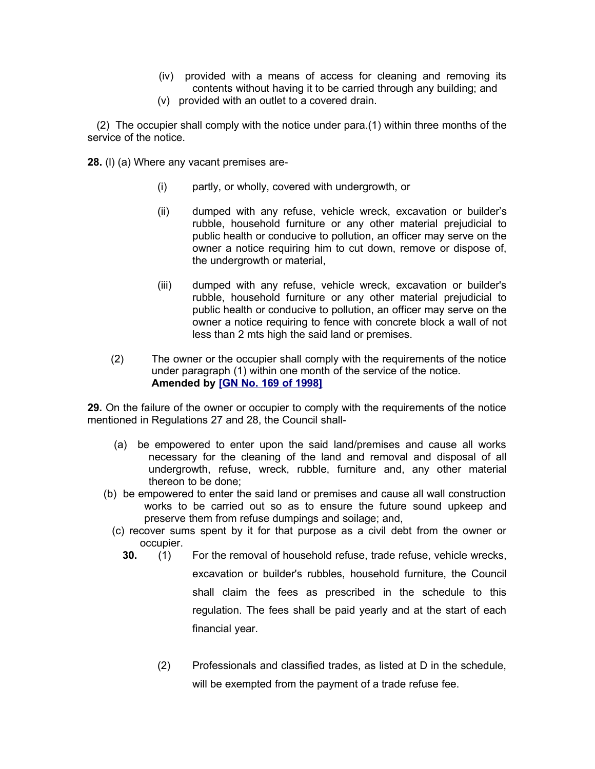- (iv) provided with a means of access for cleaning and removing its contents without having it to be carried through any building; and
- (v) provided with an outlet to a covered drain.

 (2) The occupier shall comply with the notice under para.(1) within three months of the service of the notice.

**28.** (l) (a) Where any vacant premises are-

- (i) partly, or wholly, covered with undergrowth, or
- (ii) dumped with any refuse, vehicle wreck, excavation or builder's rubble, household furniture or any other material prejudicial to public health or conducive to pollution, an officer may serve on the owner a notice requiring him to cut down, remove or dispose of, the undergrowth or material,
- (iii) dumped with any refuse, vehicle wreck, excavation or builder's rubble, household furniture or any other material prejudicial to public health or conducive to pollution, an officer may serve on the owner a notice requiring to fence with concrete block a wall of not less than 2 mts high the said land or premises.
- (2) The owner or the occupier shall comply with the requirements of the notice under paragraph (1) within one month of the service of the notice. **Amended by [\[GN No. 169 of 1998\]](http://www.gov.mu/scourt/doc/showDoc.do?dk=GN%20No.%20169%20of%201998&dt=R)**

**29.** On the failure of the owner or occupier to comply with the requirements of the notice mentioned in Regulations 27 and 28, the Council shall-

- (a) be empowered to enter upon the said land/premises and cause all works necessary for the cleaning of the land and removal and disposal of all undergrowth, refuse, wreck, rubble, furniture and, any other material thereon to be done;
- (b) be empowered to enter the said land or premises and cause all wall construction works to be carried out so as to ensure the future sound upkeep and preserve them from refuse dumpings and soilage; and,
	- (c) recover sums spent by it for that purpose as a civil debt from the owner or occupier.
		- **30.** (1) For the removal of household refuse, trade refuse, vehicle wrecks,
			- excavation or builder's rubbles, household furniture, the Council shall claim the fees as prescribed in the schedule to this regulation. The fees shall be paid yearly and at the start of each financial year.
			- (2) Professionals and classified trades, as listed at D in the schedule, will be exempted from the payment of a trade refuse fee.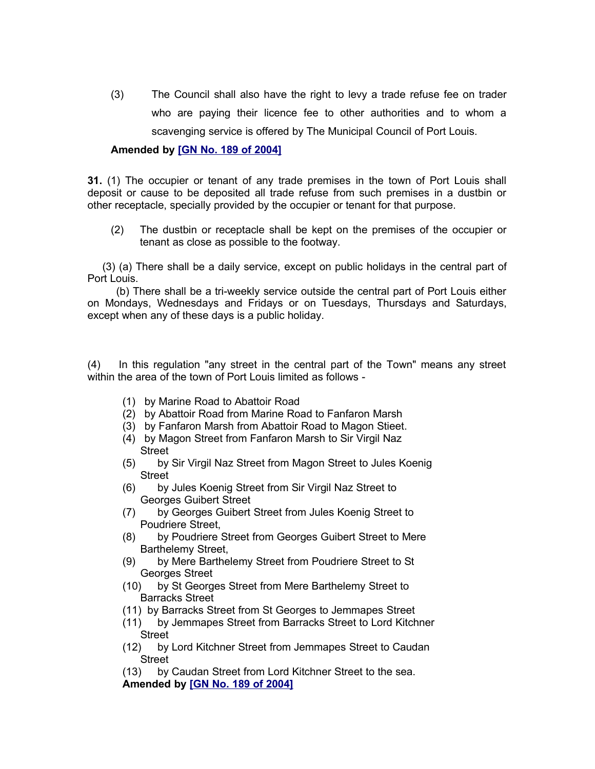(3) The Council shall also have the right to levy a trade refuse fee on trader who are paying their licence fee to other authorities and to whom a scavenging service is offered by The Municipal Council of Port Louis.

# **Amended by [\[GN No. 189 of 2004\]](http://www.gov.mu/scourt/doc/showDoc.do?dk=GN%20No.%20189%20of%202004&dt=R)**

**31.** (1) The occupier or tenant of any trade premises in the town of Port Louis shall deposit or cause to be deposited all trade refuse from such premises in a dustbin or other receptacle, specially provided by the occupier or tenant for that purpose.

(2) The dustbin or receptacle shall be kept on the premises of the occupier or tenant as close as possible to the footway.

 (3) (a) There shall be a daily service, except on public holidays in the central part of Port Louis.

 (b) There shall be a tri-weekly service outside the central part of Port Louis either on Mondays, Wednesdays and Fridays or on Tuesdays, Thursdays and Saturdays, except when any of these days is a public holiday.

(4) In this regulation "any street in the central part of the Town" means any street within the area of the town of Port Louis limited as follows -

- (1) by Marine Road to Abattoir Road
- (2) by Abattoir Road from Marine Road to Fanfaron Marsh
- (3) by Fanfaron Marsh from Abattoir Road to Magon Stieet.
- (4) by Magon Street from Fanfaron Marsh to Sir Virgil Naz **Street**
- (5) by Sir Virgil Naz Street from Magon Street to Jules Koenig Street
- (6) by Jules Koenig Street from Sir Virgil Naz Street to Georges Guibert Street
- (7) by Georges Guibert Street from Jules Koenig Street to Poudriere Street,
- (8) by Poudriere Street from Georges Guibert Street to Mere Barthelemy Street,
- (9) by Mere Barthelemy Street from Poudriere Street to St Georges Street
- (10) by St Georges Street from Mere Barthelemy Street to Barracks Street
- (11) by Barracks Street from St Georges to Jemmapes Street
- (11) by Jemmapes Street from Barracks Street to Lord Kitchner Street
- (12) by Lord Kitchner Street from Jemmapes Street to Caudan Street

(13) by Caudan Street from Lord Kitchner Street to the sea. **Amended by [\[GN No. 189 of 2004\]](http://www.gov.mu/scourt/doc/showDoc.do?dk=GN%20No.%20189%20of%202004&dt=R)**